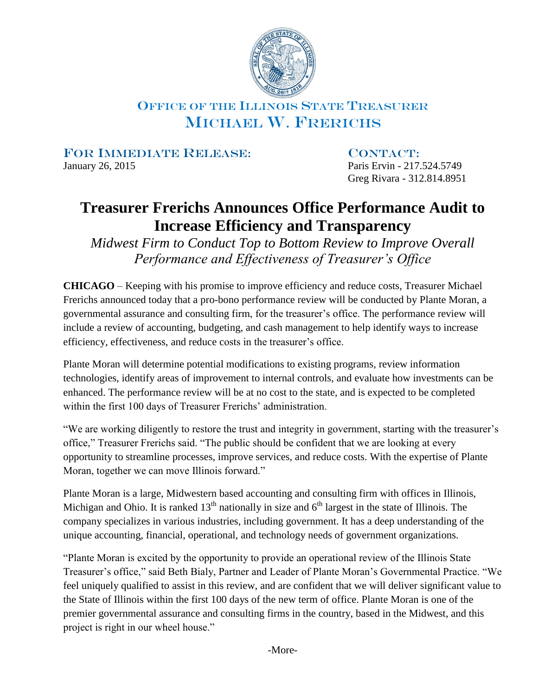

## OFFICE OF THE ILLINOIS STATE TREASURER MICHAEL W. FRERICHS

FOR IMMEDIATE RELEASE: CONTACT:

January 26, 2015 Paris Ervin - 217.524.5749 Greg Rivara - 312.814.8951

## **Treasurer Frerichs Announces Office Performance Audit to Increase Efficiency and Transparency**

*Midwest Firm to Conduct Top to Bottom Review to Improve Overall Performance and Effectiveness of Treasurer's Office* 

**CHICAGO** – Keeping with his promise to improve efficiency and reduce costs, Treasurer Michael Frerichs announced today that a pro-bono performance review will be conducted by Plante Moran, a governmental assurance and consulting firm, for the treasurer's office. The performance review will include a review of accounting, budgeting, and cash management to help identify ways to increase efficiency, effectiveness, and reduce costs in the treasurer's office.

Plante Moran will determine potential modifications to existing programs, review information technologies, identify areas of improvement to internal controls, and evaluate how investments can be enhanced. The performance review will be at no cost to the state, and is expected to be completed within the first 100 days of Treasurer Frerichs' administration.

"We are working diligently to restore the trust and integrity in government, starting with the treasurer's office," Treasurer Frerichs said. "The public should be confident that we are looking at every opportunity to streamline processes, improve services, and reduce costs. With the expertise of Plante Moran, together we can move Illinois forward."

Plante Moran is a large, Midwestern based accounting and consulting firm with offices in Illinois, Michigan and Ohio. It is ranked  $13<sup>th</sup>$  nationally in size and  $6<sup>th</sup>$  largest in the state of Illinois. The company specializes in various industries, including government. It has a deep understanding of the unique accounting, financial, operational, and technology needs of government organizations.

"Plante Moran is excited by the opportunity to provide an operational review of the Illinois State Treasurer's office," said Beth Bialy, Partner and Leader of Plante Moran's Governmental Practice. "We feel uniquely qualified to assist in this review, and are confident that we will deliver significant value to the State of Illinois within the first 100 days of the new term of office. Plante Moran is one of the premier governmental assurance and consulting firms in the country, based in the Midwest, and this project is right in our wheel house."